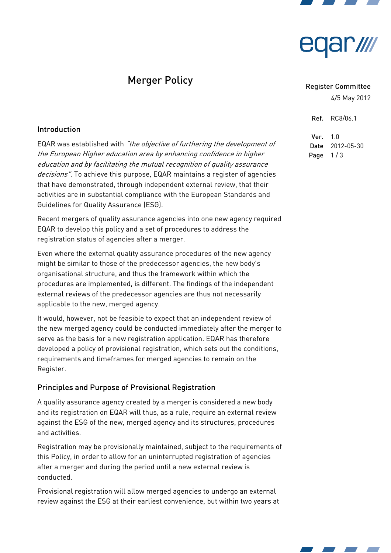



# Merger Policy

#### Register Committee

4/5 May 2012

Ref. RC8/06.1

Ver. 1.0 Date 2012-05-30 Page  $1/3$ 

## Introduction

EQAR was established with "the objective of furthering the development of the European Higher education area by enhancing confidence in higher education and by facilitating the mutual recognition of quality assurance decisions". To achieve this purpose, EQAR maintains a register of agencies that have demonstrated, through independent external review, that their activities are in substantial compliance with the European Standards and Guidelines for Quality Assurance (ESG).

Recent mergers of quality assurance agencies into one new agency required EQAR to develop this policy and a set of procedures to address the registration status of agencies after a merger.

Even where the external quality assurance procedures of the new agency might be similar to those of the predecessor agencies, the new body's organisational structure, and thus the framework within which the procedures are implemented, is different. The findings of the independent external reviews of the predecessor agencies are thus not necessarily applicable to the new, merged agency.

It would, however, not be feasible to expect that an independent review of the new merged agency could be conducted immediately after the merger to serve as the basis for a new registration application. EQAR has therefore developed a policy of provisional registration, which sets out the conditions, requirements and timeframes for merged agencies to remain on the Register.

# Principles and Purpose of Provisional Registration

A quality assurance agency created by a merger is considered a new body and its registration on EQAR will thus, as a rule, require an external review against the ESG of the new, merged agency and its structures, procedures and activities.

Registration may be provisionally maintained, subject to the requirements of this Policy, in order to allow for an uninterrupted registration of agencies after a merger and during the period until a new external review is conducted.

Provisional registration will allow merged agencies to undergo an external review against the ESG at their earliest convenience, but within two years at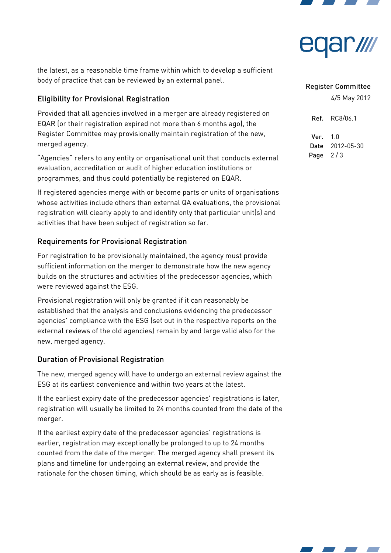



the latest, as a reasonable time frame within which to develop a sufficient body of practice that can be reviewed by an external panel.

# Eligibility for Provisional Registration

Provided that all agencies involved in a merger are already registered on EQAR (or their registration expired not more than 6 months ago), the Register Committee may provisionally maintain registration of the new, merged agency.

"Agencies" refers to any entity or organisational unit that conducts external evaluation, accreditation or audit of higher education institutions or programmes, and thus could potentially be registered on EQAR.

If registered agencies merge with or become parts or units of organisations whose activities include others than external QA evaluations, the provisional registration will clearly apply to and identify only that particular unit(s) and activities that have been subject of registration so far.

## Requirements for Provisional Registration

For registration to be provisionally maintained, the agency must provide sufficient information on the merger to demonstrate how the new agency builds on the structures and activities of the predecessor agencies, which were reviewed against the ESG.

Provisional registration will only be granted if it can reasonably be established that the analysis and conclusions evidencing the predecessor agencies' compliance with the ESG (set out in the respective reports on the external reviews of the old agencies) remain by and large valid also for the new, merged agency.

## Duration of Provisional Registration

The new, merged agency will have to undergo an external review against the ESG at its earliest convenience and within two years at the latest.

If the earliest expiry date of the predecessor agencies' registrations is later, registration will usually be limited to 24 months counted from the date of the merger.

If the earliest expiry date of the predecessor agencies' registrations is earlier, registration may exceptionally be prolonged to up to 24 months counted from the date of the merger. The merged agency shall present its plans and timeline for undergoing an external review, and provide the rationale for the chosen timing, which should be as early as is feasible.

#### Register Committee

4/5 May 2012

Ref. RC8/06.1 Ver. 1.0 Date 2012-05-30 Page  $2/3$